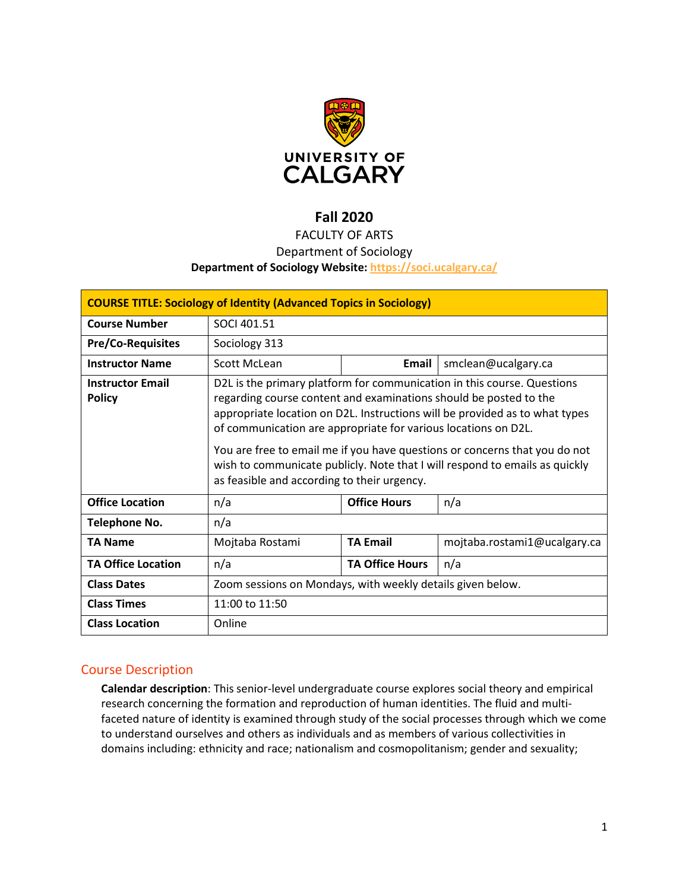

# **Fall 2020**

# FACULTY OF ARTS

# Department of Sociology

### **Department of Sociology Website:<https://soci.ucalgary.ca/>**

| <b>COURSE TITLE: Sociology of Identity (Advanced Topics in Sociology)</b> |                                                                                                                                                                                                                                                                                                                                                                                                                                                                                                           |                        |                              |  |  |  |
|---------------------------------------------------------------------------|-----------------------------------------------------------------------------------------------------------------------------------------------------------------------------------------------------------------------------------------------------------------------------------------------------------------------------------------------------------------------------------------------------------------------------------------------------------------------------------------------------------|------------------------|------------------------------|--|--|--|
| <b>Course Number</b>                                                      | SOCI 401.51                                                                                                                                                                                                                                                                                                                                                                                                                                                                                               |                        |                              |  |  |  |
| <b>Pre/Co-Requisites</b>                                                  | Sociology 313                                                                                                                                                                                                                                                                                                                                                                                                                                                                                             |                        |                              |  |  |  |
| <b>Instructor Name</b>                                                    | Scott McLean                                                                                                                                                                                                                                                                                                                                                                                                                                                                                              | Email                  | smclean@ucalgary.ca          |  |  |  |
| <b>Instructor Email</b><br><b>Policy</b>                                  | D2L is the primary platform for communication in this course. Questions<br>regarding course content and examinations should be posted to the<br>appropriate location on D2L. Instructions will be provided as to what types<br>of communication are appropriate for various locations on D2L.<br>You are free to email me if you have questions or concerns that you do not<br>wish to communicate publicly. Note that I will respond to emails as quickly<br>as feasible and according to their urgency. |                        |                              |  |  |  |
| <b>Office Location</b>                                                    | n/a                                                                                                                                                                                                                                                                                                                                                                                                                                                                                                       | <b>Office Hours</b>    | n/a                          |  |  |  |
| Telephone No.                                                             | n/a                                                                                                                                                                                                                                                                                                                                                                                                                                                                                                       |                        |                              |  |  |  |
| <b>TA Name</b>                                                            | Mojtaba Rostami                                                                                                                                                                                                                                                                                                                                                                                                                                                                                           | <b>TA Email</b>        | mojtaba.rostami1@ucalgary.ca |  |  |  |
| <b>TA Office Location</b>                                                 | n/a                                                                                                                                                                                                                                                                                                                                                                                                                                                                                                       | <b>TA Office Hours</b> | n/a                          |  |  |  |
| <b>Class Dates</b>                                                        | Zoom sessions on Mondays, with weekly details given below.                                                                                                                                                                                                                                                                                                                                                                                                                                                |                        |                              |  |  |  |
| <b>Class Times</b>                                                        | 11:00 to 11:50                                                                                                                                                                                                                                                                                                                                                                                                                                                                                            |                        |                              |  |  |  |
| <b>Class Location</b>                                                     | Online                                                                                                                                                                                                                                                                                                                                                                                                                                                                                                    |                        |                              |  |  |  |

# Course Description

**Calendar description**: This senior-level undergraduate course explores social theory and empirical research concerning the formation and reproduction of human identities. The fluid and multifaceted nature of identity is examined through study of the social processes through which we come to understand ourselves and others as individuals and as members of various collectivities in domains including: ethnicity and race; nationalism and cosmopolitanism; gender and sexuality;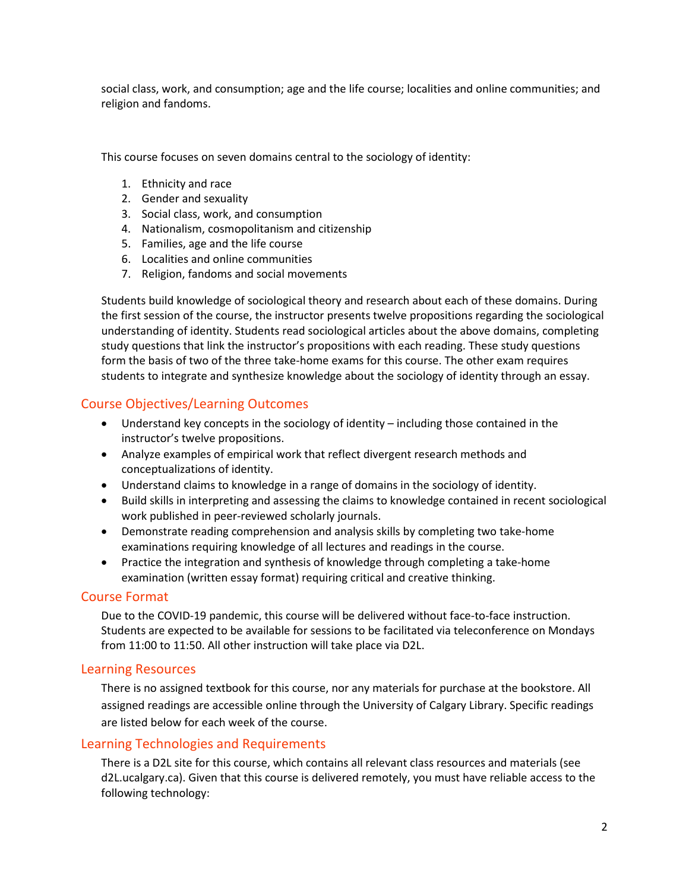social class, work, and consumption; age and the life course; localities and online communities; and religion and fandoms.

This course focuses on seven domains central to the sociology of identity:

- 1. Ethnicity and race
- 2. Gender and sexuality
- 3. Social class, work, and consumption
- 4. Nationalism, cosmopolitanism and citizenship
- 5. Families, age and the life course
- 6. Localities and online communities
- 7. Religion, fandoms and social movements

Students build knowledge of sociological theory and research about each of these domains. During the first session of the course, the instructor presents twelve propositions regarding the sociological understanding of identity. Students read sociological articles about the above domains, completing study questions that link the instructor's propositions with each reading. These study questions form the basis of two of the three take-home exams for this course. The other exam requires students to integrate and synthesize knowledge about the sociology of identity through an essay.

# Course Objectives/Learning Outcomes

- Understand key concepts in the sociology of identity including those contained in the instructor's twelve propositions.
- Analyze examples of empirical work that reflect divergent research methods and conceptualizations of identity.
- Understand claims to knowledge in a range of domains in the sociology of identity.
- Build skills in interpreting and assessing the claims to knowledge contained in recent sociological work published in peer-reviewed scholarly journals.
- Demonstrate reading comprehension and analysis skills by completing two take-home examinations requiring knowledge of all lectures and readings in the course.
- Practice the integration and synthesis of knowledge through completing a take-home examination (written essay format) requiring critical and creative thinking.

# Course Format

Due to the COVID-19 pandemic, this course will be delivered without face-to-face instruction. Students are expected to be available for sessions to be facilitated via teleconference on Mondays from 11:00 to 11:50. All other instruction will take place via D2L.

### Learning Resources

There is no assigned textbook for this course, nor any materials for purchase at the bookstore. All assigned readings are accessible online through the University of Calgary Library. Specific readings are listed below for each week of the course.

# Learning Technologies and Requirements

There is a D2L site for this course, which contains all relevant class resources and materials (see d2L.ucalgary.ca). Given that this course is delivered remotely, you must have reliable access to the following technology: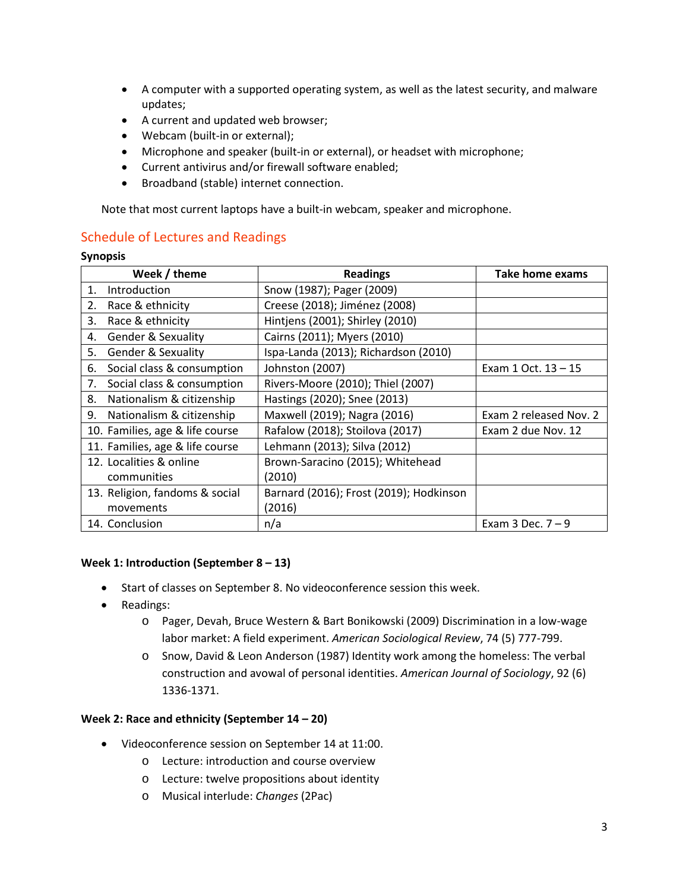- A computer with a supported operating system, as well as the latest security, and malware updates;
- A current and updated web browser;
- Webcam (built-in or external);
- Microphone and speaker (built-in or external), or headset with microphone;
- Current antivirus and/or firewall software enabled;
- Broadband (stable) internet connection.

Note that most current laptops have a built-in webcam, speaker and microphone.

# Schedule of Lectures and Readings

#### **Synopsis**

| Week / theme                        | <b>Readings</b>                         | Take home exams        |
|-------------------------------------|-----------------------------------------|------------------------|
| Introduction<br>1.                  | Snow (1987); Pager (2009)               |                        |
| Race & ethnicity<br>2.              | Creese (2018); Jiménez (2008)           |                        |
| Race & ethnicity<br>3.              | Hintjens (2001); Shirley (2010)         |                        |
| <b>Gender &amp; Sexuality</b><br>4. | Cairns (2011); Myers (2010)             |                        |
| 5.<br><b>Gender &amp; Sexuality</b> | Ispa-Landa (2013); Richardson (2010)    |                        |
| Social class & consumption<br>6.    | Johnston (2007)                         | Exam 1 Oct. 13 - 15    |
| Social class & consumption<br>7.    | Rivers-Moore (2010); Thiel (2007)       |                        |
| Nationalism & citizenship<br>8.     | Hastings (2020); Snee (2013)            |                        |
| Nationalism & citizenship<br>9.     | Maxwell (2019); Nagra (2016)            | Exam 2 released Nov. 2 |
| 10. Families, age & life course     | Rafalow (2018); Stoilova (2017)         | Exam 2 due Nov. 12     |
| 11. Families, age & life course     | Lehmann (2013); Silva (2012)            |                        |
| 12. Localities & online             | Brown-Saracino (2015); Whitehead        |                        |
| communities                         | (2010)                                  |                        |
| 13. Religion, fandoms & social      | Barnard (2016); Frost (2019); Hodkinson |                        |
| movements                           | (2016)                                  |                        |
| 14. Conclusion                      | n/a                                     | Exam 3 Dec. $7 - 9$    |

### **Week 1: Introduction (September 8 – 13)**

- Start of classes on September 8. No videoconference session this week.
- Readings:
	- o Pager, Devah, Bruce Western & Bart Bonikowski (2009) Discrimination in a low-wage labor market: A field experiment. *American Sociological Review*, 74 (5) 777-799.
	- o Snow, David & Leon Anderson (1987) Identity work among the homeless: The verbal construction and avowal of personal identities. *American Journal of Sociology*, 92 (6) 1336-1371.

### **Week 2: Race and ethnicity (September 14 – 20)**

- Videoconference session on September 14 at 11:00.
	- o Lecture: introduction and course overview
	- o Lecture: twelve propositions about identity
	- o Musical interlude: *Changes* (2Pac)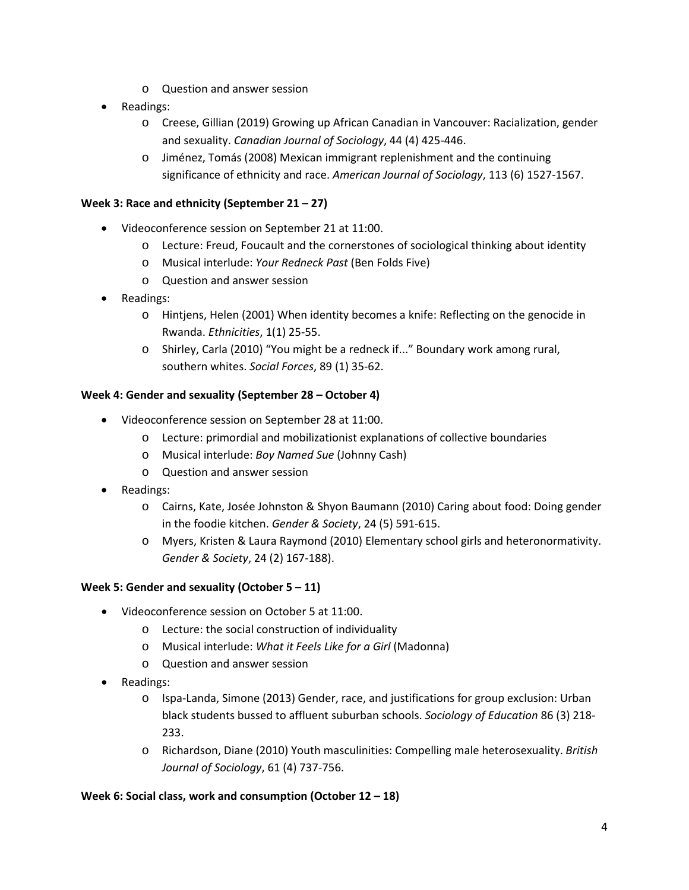- o Question and answer session
- Readings:
	- o Creese, Gillian (2019) Growing up African Canadian in Vancouver: Racialization, gender and sexuality. *Canadian Journal of Sociology*, 44 (4) 425-446.
	- o Jiménez, Tomás (2008) Mexican immigrant replenishment and the continuing significance of ethnicity and race. *American Journal of Sociology*, 113 (6) 1527-1567.

### **Week 3: Race and ethnicity (September 21 – 27)**

- Videoconference session on September 21 at 11:00.
	- o Lecture: Freud, Foucault and the cornerstones of sociological thinking about identity
	- o Musical interlude: *Your Redneck Past* (Ben Folds Five)
	- o Question and answer session
- Readings:
	- o Hintjens, Helen (2001) When identity becomes a knife: Reflecting on the genocide in Rwanda. *Ethnicities*, 1(1) 25-55.
	- o Shirley, Carla (2010) "You might be a redneck if..." Boundary work among rural, southern whites. *Social Forces*, 89 (1) 35-62.

### **Week 4: Gender and sexuality (September 28 – October 4)**

- Videoconference session on September 28 at 11:00.
	- o Lecture: primordial and mobilizationist explanations of collective boundaries
	- o Musical interlude: *Boy Named Sue* (Johnny Cash)
	- o Question and answer session
- Readings:
	- o Cairns, Kate, Josée Johnston & Shyon Baumann (2010) Caring about food: Doing gender in the foodie kitchen. *Gender & Society*, 24 (5) 591-615.
	- o Myers, Kristen & Laura Raymond (2010) Elementary school girls and heteronormativity. *Gender & Society*, 24 (2) 167-188).

### **Week 5: Gender and sexuality (October 5 – 11)**

- Videoconference session on October 5 at 11:00.
	- o Lecture: the social construction of individuality
	- o Musical interlude: *What it Feels Like for a Girl* (Madonna)
	- o Question and answer session
- Readings:
	- o Ispa-Landa, Simone (2013) Gender, race, and justifications for group exclusion: Urban black students bussed to affluent suburban schools. *Sociology of Education* 86 (3) 218- 233.
	- o Richardson, Diane (2010) Youth masculinities: Compelling male heterosexuality. *British Journal of Sociology*, 61 (4) 737-756.

### **Week 6: Social class, work and consumption (October 12 – 18)**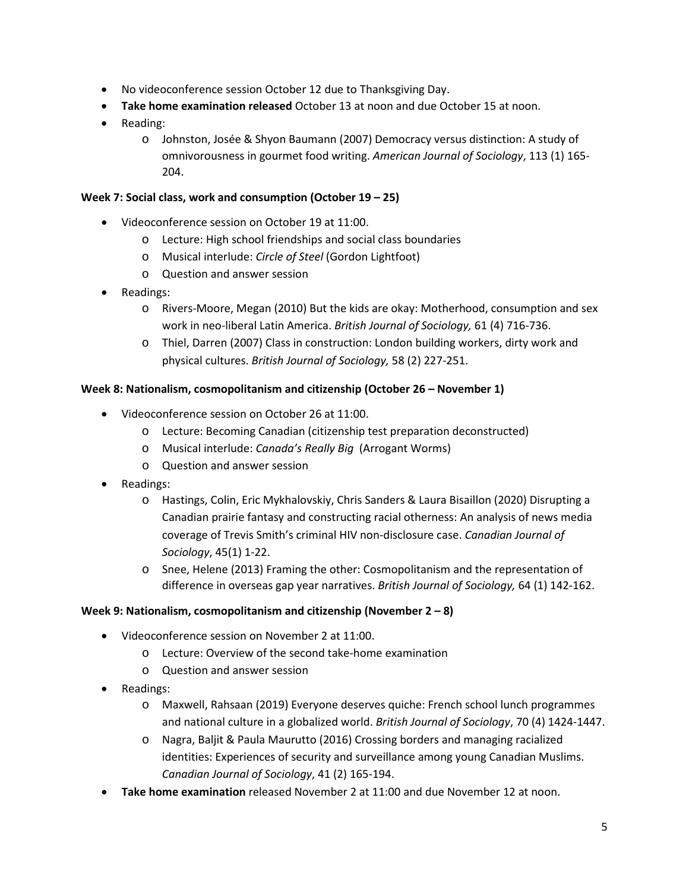- No videoconference session October 12 due to Thanksgiving Day.
- **Take home examination released** October 13 at noon and due October 15 at noon.
- Reading:
	- o Johnston, Josée & Shyon Baumann (2007) Democracy versus distinction: A study of omnivorousness in gourmet food writing. *American Journal of Sociology*, 113 (1) 165- 204.

### **Week 7: Social class, work and consumption (October 19 – 25)**

- Videoconference session on October 19 at 11:00.
	- o Lecture: High school friendships and social class boundaries
	- o Musical interlude: *Circle of Steel* (Gordon Lightfoot)
	- o Question and answer session
- Readings:
	- o Rivers-Moore, Megan (2010) But the kids are okay: Motherhood, consumption and sex work in neo-liberal Latin America. *British Journal of Sociology,* 61 (4) 716-736.
	- o Thiel, Darren (2007) Class in construction: London building workers, dirty work and physical cultures. *British Journal of Sociology,* 58 (2) 227-251.

### **Week 8: Nationalism, cosmopolitanism and citizenship (October 26 – November 1)**

- Videoconference session on October 26 at 11:00.
	- o Lecture: Becoming Canadian (citizenship test preparation deconstructed)
	- o Musical interlude: *Canada's Really Big* (Arrogant Worms)
	- o Question and answer session
- Readings:
	- o Hastings, Colin, Eric Mykhalovskiy, Chris Sanders & Laura Bisaillon (2020) Disrupting a Canadian prairie fantasy and constructing racial otherness: An analysis of news media coverage of Trevis Smith's criminal HIV non-disclosure case. *Canadian Journal of Sociology*, 45(1) 1-22.
	- o Snee, Helene (2013) Framing the other: Cosmopolitanism and the representation of difference in overseas gap year narratives. *British Journal of Sociology,* 64 (1) 142-162.

### **Week 9: Nationalism, cosmopolitanism and citizenship (November 2 – 8)**

- Videoconference session on November 2 at 11:00.
	- o Lecture: Overview of the second take-home examination
	- o Question and answer session
- Readings:
	- o Maxwell, Rahsaan (2019) Everyone deserves quiche: French school lunch programmes and national culture in a globalized world. *British Journal of Sociology*, 70 (4) 1424-1447.
	- o Nagra, Baljit & Paula Maurutto (2016) Crossing borders and managing racialized identities: Experiences of security and surveillance among young Canadian Muslims. *Canadian Journal of Sociology*, 41 (2) 165-194.
- **Take home examination** released November 2 at 11:00 and due November 12 at noon.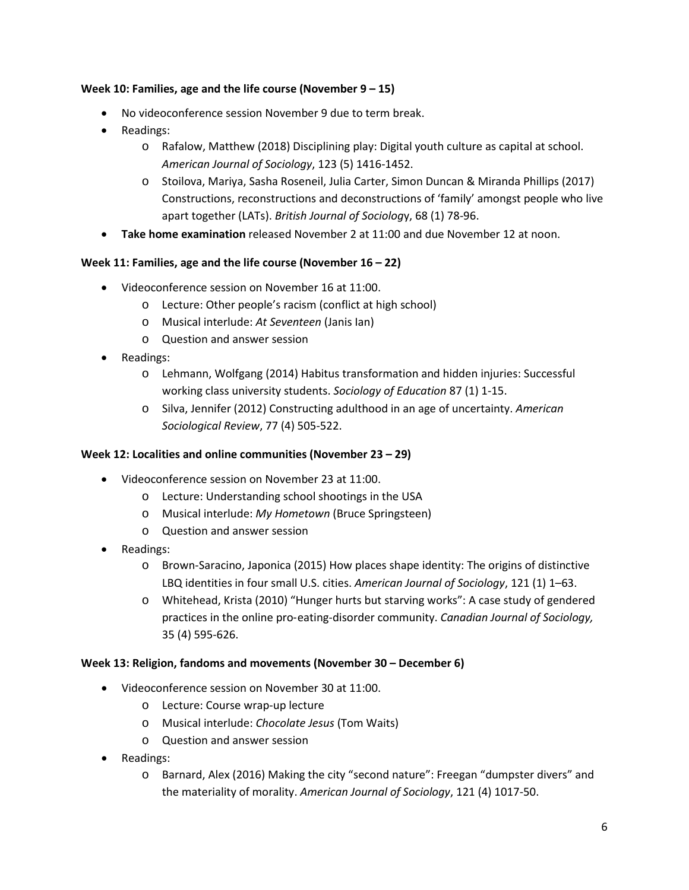### **Week 10: Families, age and the life course (November 9 – 15)**

- No videoconference session November 9 due to term break.
- Readings:
	- o Rafalow, Matthew (2018) Disciplining play: Digital youth culture as capital at school. *American Journal of Sociology*, 123 (5) 1416-1452.
	- o Stoilova, Mariya, Sasha Roseneil, Julia Carter, Simon Duncan & Miranda Phillips (2017) Constructions, reconstructions and deconstructions of 'family' amongst people who live apart together (LATs). *British Journal of Sociolog*y, 68 (1) 78-96.
- **Take home examination** released November 2 at 11:00 and due November 12 at noon.

### **Week 11: Families, age and the life course (November 16 – 22)**

- Videoconference session on November 16 at 11:00.
	- o Lecture: Other people's racism (conflict at high school)
	- o Musical interlude: *At Seventeen* (Janis Ian)
	- o Question and answer session
- Readings:
	- o Lehmann, Wolfgang (2014) Habitus transformation and hidden injuries: Successful working class university students. *Sociology of Education* 87 (1) 1-15.
	- o Silva, Jennifer (2012) Constructing adulthood in an age of uncertainty. *American Sociological Review*, 77 (4) 505-522.

### **Week 12: Localities and online communities (November 23 – 29)**

- Videoconference session on November 23 at 11:00.
	- o Lecture: Understanding school shootings in the USA
	- o Musical interlude: *My Hometown* (Bruce Springsteen)
	- o Question and answer session
- Readings:
	- o Brown-Saracino, Japonica (2015) How places shape identity: The origins of distinctive LBQ identities in four small U.S. cities. *American Journal of Sociology*, 121 (1) 1–63.
	- o Whitehead, Krista (2010) "Hunger hurts but starving works": A case study of gendered practices in the online pro‑eating-disorder community. *Canadian Journal of Sociology,*  35 (4) 595-626.

### **Week 13: Religion, fandoms and movements (November 30 – December 6)**

- Videoconference session on November 30 at 11:00.
	- o Lecture: Course wrap-up lecture
	- o Musical interlude: *Chocolate Jesus* (Tom Waits)
	- o Question and answer session
- Readings:
	- o Barnard, Alex (2016) Making the city "second nature": Freegan "dumpster divers" and the materiality of morality. *American Journal of Sociology*, 121 (4) 1017-50.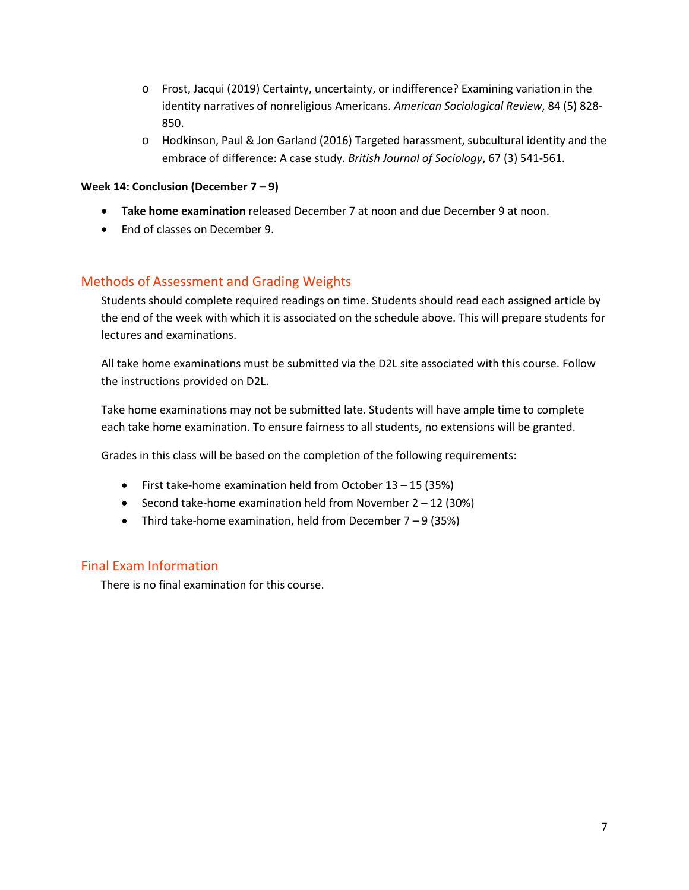- o Frost, Jacqui (2019) Certainty, uncertainty, or indifference? Examining variation in the identity narratives of nonreligious Americans. *American Sociological Review*, 84 (5) 828- 850.
- o Hodkinson, Paul & Jon Garland (2016) Targeted harassment, subcultural identity and the embrace of difference: A case study. *British Journal of Sociology*, 67 (3) 541-561.

### **Week 14: Conclusion (December 7 – 9)**

- **Take home examination** released December 7 at noon and due December 9 at noon.
- End of classes on December 9.

# Methods of Assessment and Grading Weights

Students should complete required readings on time. Students should read each assigned article by the end of the week with which it is associated on the schedule above. This will prepare students for lectures and examinations.

All take home examinations must be submitted via the D2L site associated with this course. Follow the instructions provided on D2L.

Take home examinations may not be submitted late. Students will have ample time to complete each take home examination. To ensure fairness to all students, no extensions will be granted.

Grades in this class will be based on the completion of the following requirements:

- First take-home examination held from October 13 15 (35%)
- Second take-home examination held from November  $2 12$  (30%)
- Third take-home examination, held from December  $7 9$  (35%)

# Final Exam Information

There is no final examination for this course.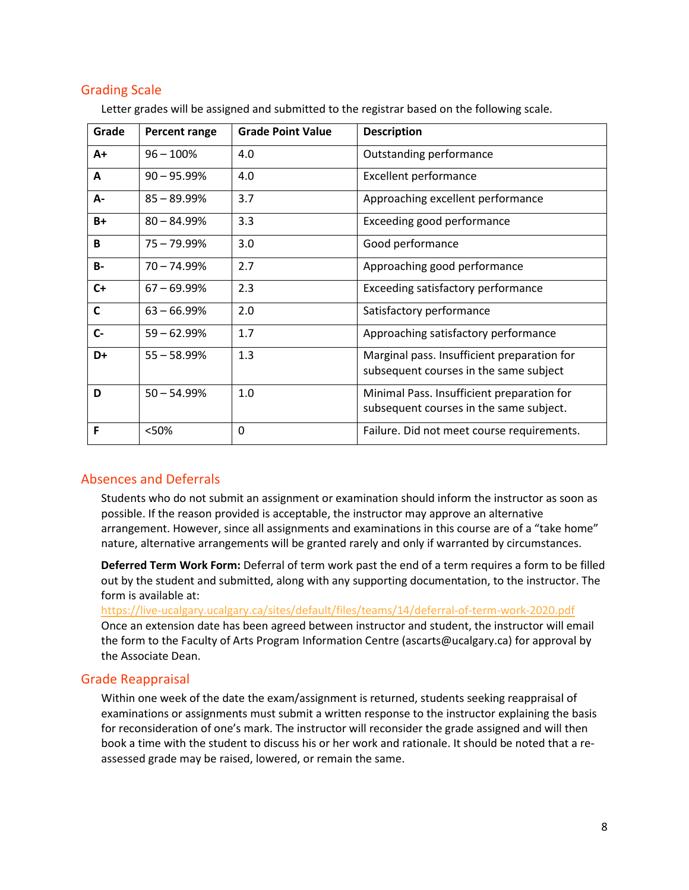# Grading Scale

| Grade        | <b>Percent range</b> | <b>Grade Point Value</b> | <b>Description</b>                                                                    |
|--------------|----------------------|--------------------------|---------------------------------------------------------------------------------------|
| $A+$         | $96 - 100%$          | 4.0                      | Outstanding performance                                                               |
| A            | $90 - 95.99%$        | 4.0                      | <b>Excellent performance</b>                                                          |
| А-           | $85 - 89.99%$        | 3.7                      | Approaching excellent performance                                                     |
| B+           | $80 - 84.99\%$       | 3.3                      | <b>Exceeding good performance</b>                                                     |
| B            | $75 - 79.99%$        | 3.0                      | Good performance                                                                      |
| <b>B-</b>    | $70 - 74.99%$        | 2.7                      | Approaching good performance                                                          |
| $C+$         | $67 - 69.99%$        | 2.3                      | Exceeding satisfactory performance                                                    |
| $\mathsf{C}$ | $63 - 66.99%$        | 2.0                      | Satisfactory performance                                                              |
| $C -$        | $59 - 62.99%$        | 1.7                      | Approaching satisfactory performance                                                  |
| D+           | $55 - 58.99%$        | 1.3                      | Marginal pass. Insufficient preparation for<br>subsequent courses in the same subject |
| D            | $50 - 54.99%$        | 1.0                      | Minimal Pass. Insufficient preparation for<br>subsequent courses in the same subject. |
| F            | <50%                 | 0                        | Failure. Did not meet course requirements.                                            |

Letter grades will be assigned and submitted to the registrar based on the following scale.

# Absences and Deferrals

Students who do not submit an assignment or examination should inform the instructor as soon as possible. If the reason provided is acceptable, the instructor may approve an alternative arrangement. However, since all assignments and examinations in this course are of a "take home" nature, alternative arrangements will be granted rarely and only if warranted by circumstances.

**Deferred Term Work Form:** Deferral of term work past the end of a term requires a form to be filled out by the student and submitted, along with any supporting documentation, to the instructor. The form is available at:

<https://live-ucalgary.ucalgary.ca/sites/default/files/teams/14/deferral-of-term-work-2020.pdf> Once an extension date has been agreed between instructor and student, the instructor will email the form to the Faculty of Arts Program Information Centre (ascarts@ucalgary.ca) for approval by the Associate Dean.

# Grade Reappraisal

Within one week of the date the exam/assignment is returned, students seeking reappraisal of examinations or assignments must submit a written response to the instructor explaining the basis for reconsideration of one's mark. The instructor will reconsider the grade assigned and will then book a time with the student to discuss his or her work and rationale. It should be noted that a reassessed grade may be raised, lowered, or remain the same.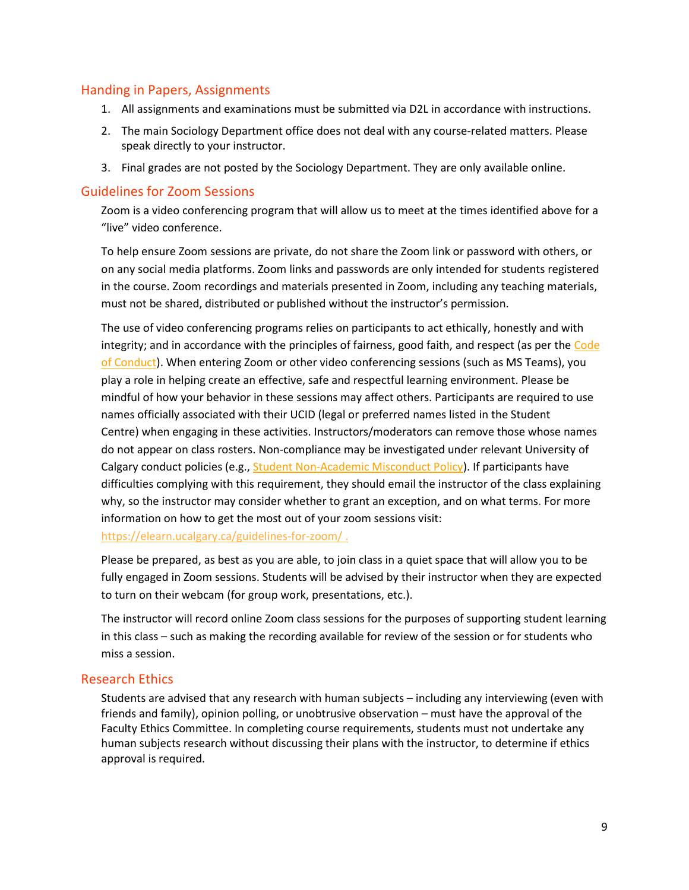# Handing in Papers, Assignments

- 1. All assignments and examinations must be submitted via D2L in accordance with instructions.
- 2. The main Sociology Department office does not deal with any course-related matters. Please speak directly to your instructor.
- 3. Final grades are not posted by the Sociology Department. They are only available online.

### Guidelines for Zoom Sessions

Zoom is a video conferencing program that will allow us to meet at the times identified above for a "live" video conference.

To help ensure Zoom sessions are private, do not share the Zoom link or password with others, or on any social media platforms. Zoom links and passwords are only intended for students registered in the course. Zoom recordings and materials presented in Zoom, including any teaching materials, must not be shared, distributed or published without the instructor's permission.

The use of video conferencing programs relies on participants to act ethically, honestly and with integrity; and in accordance with the principles of fairness, good faith, and respect (as per the Code [of Conduct\)](https://www.ucalgary.ca/policies/files/policies/code-of-conduct.pdf). When entering Zoom or other video conferencing sessions (such as MS Teams), you play a role in helping create an effective, safe and respectful learning environment. Please be mindful of how your behavior in these sessions may affect others. Participants are required to use names officially associated with their UCID (legal or preferred names listed in the Student Centre) when engaging in these activities. Instructors/moderators can remove those whose names do not appear on class rosters. Non-compliance may be investigated under relevant University of Calgary conduct policies (e.g., [Student Non-Academic Misconduct Policy\)](https://ucalgary.ca/policies/files/policies/non-academic-misconduct-policy.pdf). If participants have difficulties complying with this requirement, they should email the instructor of the class explaining why, so the instructor may consider whether to grant an exception, and on what terms. For more information on how to get the most out of your zoom sessions visit:

<https://elearn.ucalgary.ca/guidelines-for-zoom/> .

Please be prepared, as best as you are able, to join class in a quiet space that will allow you to be fully engaged in Zoom sessions. Students will be advised by their instructor when they are expected to turn on their webcam (for group work, presentations, etc.).

The instructor will record online Zoom class sessions for the purposes of supporting student learning in this class – such as making the recording available for review of the session or for students who miss a session.

# Research Ethics

Students are advised that any research with human subjects – including any interviewing (even with friends and family), opinion polling, or unobtrusive observation – must have the approval of the Faculty Ethics Committee. In completing course requirements, students must not undertake any human subjects research without discussing their plans with the instructor, to determine if ethics approval is required.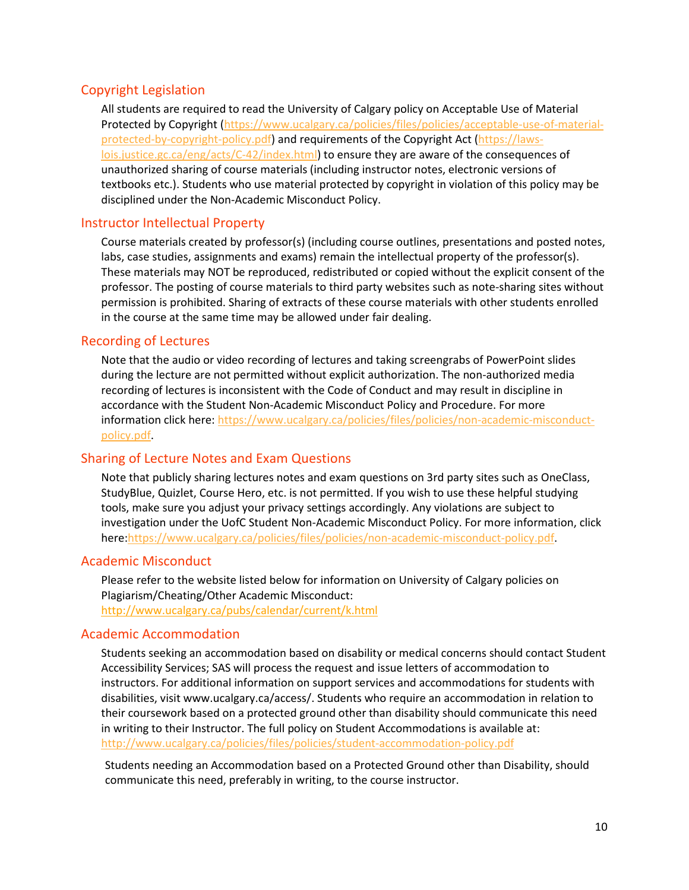# Copyright Legislation

All students are required to read the University of Calgary policy on Acceptable Use of Material Protected by Copyright [\(https://www.ucalgary.ca/policies/files/policies/acceptable-use-of-material](https://www.ucalgary.ca/policies/files/policies/acceptable-use-of-material-protected-by-copyright-policy.pdf)[protected-by-copyright-policy.pdf\)](https://www.ucalgary.ca/policies/files/policies/acceptable-use-of-material-protected-by-copyright-policy.pdf) and requirements of the Copyright Act [\(https://laws](https://laws-lois.justice.gc.ca/eng/acts/C-42/index.html)[lois.justice.gc.ca/eng/acts/C-42/index.html\)](https://laws-lois.justice.gc.ca/eng/acts/C-42/index.html) to ensure they are aware of the consequences of unauthorized sharing of course materials (including instructor notes, electronic versions of textbooks etc.). Students who use material protected by copyright in violation of this policy may be disciplined under the Non-Academic Misconduct Policy.

# Instructor Intellectual Property

Course materials created by professor(s) (including course outlines, presentations and posted notes, labs, case studies, assignments and exams) remain the intellectual property of the professor(s). These materials may NOT be reproduced, redistributed or copied without the explicit consent of the professor. The posting of course materials to third party websites such as note-sharing sites without permission is prohibited. Sharing of extracts of these course materials with other students enrolled in the course at the same time may be allowed under fair dealing.

# Recording of Lectures

Note that the audio or video recording of lectures and taking screengrabs of PowerPoint slides during the lecture are not permitted without explicit authorization. The non-authorized media recording of lectures is inconsistent with the Code of Conduct and may result in discipline in accordance with the Student Non-Academic Misconduct Policy and Procedure. For more information click here: [https://www.ucalgary.ca/policies/files/policies/non-academic-misconduct](https://www.ucalgary.ca/policies/files/policies/non-academic-misconduct-policy.pdf)[policy.pdf.](https://www.ucalgary.ca/policies/files/policies/non-academic-misconduct-policy.pdf)

# Sharing of Lecture Notes and Exam Questions

Note that publicly sharing lectures notes and exam questions on 3rd party sites such as OneClass, StudyBlue, Quizlet, Course Hero, etc. is not permitted. If you wish to use these helpful studying tools, make sure you adjust your privacy settings accordingly. Any violations are subject to investigation under the UofC Student Non-Academic Misconduct Policy. For more information, click here[:https://www.ucalgary.ca/policies/files/policies/non-academic-misconduct-policy.pdf.](https://www.ucalgary.ca/policies/files/policies/non-academic-misconduct-policy.pdf)

### Academic Misconduct

Please refer to the website listed below for information on University of Calgary policies on Plagiarism/Cheating/Other Academic Misconduct: <http://www.ucalgary.ca/pubs/calendar/current/k.html>

### Academic Accommodation

Students seeking an accommodation based on disability or medical concerns should contact Student Accessibility Services; SAS will process the request and issue letters of accommodation to instructors. For additional information on support services and accommodations for students with disabilities, visit www.ucalgary.ca/access/. Students who require an accommodation in relation to their coursework based on a protected ground other than disability should communicate this need in writing to their Instructor. The full policy on Student Accommodations is available at: <http://www.ucalgary.ca/policies/files/policies/student-accommodation-policy.pdf>

Students needing an Accommodation based on a Protected Ground other than Disability, should communicate this need, preferably in writing, to the course instructor.